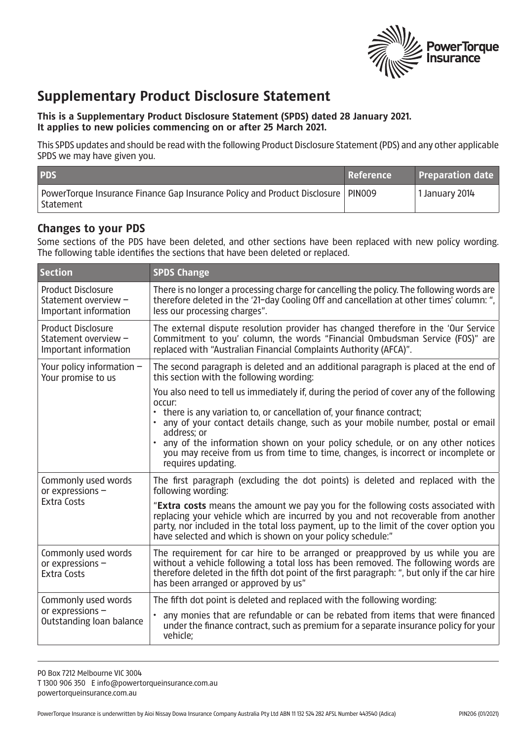

## **Supplementary Product Disclosure Statement**

## **This is a Supplementary Product Disclosure Statement (SPDS) dated 28 January 2021. It applies to new policies commencing on or after 25 March 2021.**

This SPDS updates and should be read with the following Product Disclosure Statement (PDS) and any other applicable SPDS we may have given you.

| <b>PDS</b>                                                                                      | Reference | <b>Preparation date</b> |
|-------------------------------------------------------------------------------------------------|-----------|-------------------------|
| PowerTorque Insurance Finance Gap Insurance Policy and Product Disclosure   PIN009<br>Statement |           | 1 January 2014          |

## **Changes to your PDS**

Some sections of the PDS have been deleted, and other sections have been replaced with new policy wording. The following table identifies the sections that have been deleted or replaced.

| <b>Section</b>                                                             | <b>SPDS Change</b>                                                                                                                                                                                                                                                                                                                                                                                                                                                            |
|----------------------------------------------------------------------------|-------------------------------------------------------------------------------------------------------------------------------------------------------------------------------------------------------------------------------------------------------------------------------------------------------------------------------------------------------------------------------------------------------------------------------------------------------------------------------|
| <b>Product Disclosure</b><br>Statement overview -<br>Important information | There is no longer a processing charge for cancelling the policy. The following words are<br>therefore deleted in the '21-day Cooling Off and cancellation at other times' column: ",<br>less our processing charges".                                                                                                                                                                                                                                                        |
| <b>Product Disclosure</b><br>Statement overview -<br>Important information | The external dispute resolution provider has changed therefore in the 'Our Service<br>Commitment to you' column, the words "Financial Ombudsman Service (FOS)" are<br>replaced with "Australian Financial Complaints Authority (AFCA)".                                                                                                                                                                                                                                       |
| Your policy information $-$<br>Your promise to us                          | The second paragraph is deleted and an additional paragraph is placed at the end of<br>this section with the following wording:                                                                                                                                                                                                                                                                                                                                               |
|                                                                            | You also need to tell us immediately if, during the period of cover any of the following<br>occur:<br>• there is any variation to, or cancellation of, your finance contract;<br>• any of your contact details change, such as your mobile number, postal or email<br>address; or<br>any of the information shown on your policy schedule, or on any other notices<br>you may receive from us from time to time, changes, is incorrect or incomplete or<br>requires updating. |
| Commonly used words<br>or expressions -<br><b>Extra Costs</b>              | The first paragraph (excluding the dot points) is deleted and replaced with the<br>following wording:                                                                                                                                                                                                                                                                                                                                                                         |
|                                                                            | "Extra costs means the amount we pay you for the following costs associated with<br>replacing your vehicle which are incurred by you and not recoverable from another<br>party, nor included in the total loss payment, up to the limit of the cover option you<br>have selected and which is shown on your policy schedule:"                                                                                                                                                 |
| Commonly used words<br>or expressions -<br><b>Extra Costs</b>              | The requirement for car hire to be arranged or preapproved by us while you are<br>without a vehicle following a total loss has been removed. The following words are<br>therefore deleted in the fifth dot point of the first paragraph: ", but only if the car hire<br>has been arranged or approved by us"                                                                                                                                                                  |
| Commonly used words<br>or expressions -<br>Outstanding loan balance        | The fifth dot point is deleted and replaced with the following wording:                                                                                                                                                                                                                                                                                                                                                                                                       |
|                                                                            | any monies that are refundable or can be rebated from items that were financed<br>under the finance contract, such as premium for a separate insurance policy for your<br>vehicle;                                                                                                                                                                                                                                                                                            |

PO Box 7212 Melbourne VIC 3004 T 1300 906 350 E info@powertorqueinsurance.com.au powertorqueinsurance.com.au